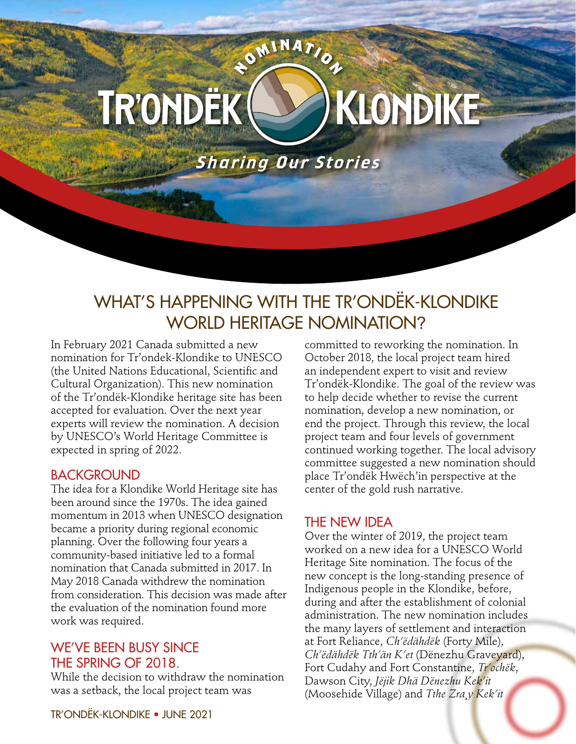# KLONDIKE TR'ONDËK (

**ROMINATION** 

**Sharing Our Stories** 

# WHAT'S HAPPENING WITH THE TR'ONDËK-KLONDIKE WORLD HERITAGE NOMINATION?

In February 2021 Canada submitted a new nomination for Tr'ondek-Klondike to UNESCO (the United Nations Educational, Scientific and Cultural Organization). This new nomination of the Tr'ondëk-Klondike heritage site has been accepted for evaluation. Over the next year experts will review the nomination. A decision by UNESCO's World Heritage Committee is expected in spring of 2022.

#### BACKGROUND

The idea for a Klondike World Heritage site has been around since the 1970s. The idea gained momentum in 2013 when UNESCO designation became a priority during regional economic planning. Over the following four years a community-based initiative led to a formal nomination that Canada submitted in 2017. In May 2018 Canada withdrew the nomination from consideration. This decision was made after the evaluation of the nomination found more work was required.

## WE'VE BEEN BUSY SINCE THE SPRING OF 2018.

While the decision to withdraw the nomination was a setback, the local project team was

committed to reworking the nomination. In October 2018, the local project team hired an independent expert to visit and review Tr'ondëk-Klondike. The goal of the review was to help decide whether to revise the current nomination, develop a new nomination, or end the project. Through this review, the local project team and four levels of government continued working together. The local advisory committee suggested a new nomination should place Tr'ondëk Hwëch'in perspective at the center of the gold rush narrative.

## THE NEW IDEA

Over the winter of 2019, the project team worked on a new idea for a UNESCO World Heritage Site nomination. The focus of the new concept is the long-standing presence of Indigenous people in the Klondike, before, during and after the establishment of colonial administration. The new nomination includes the many layers of settlement and interaction at Fort Reliance, *Ch'ëdähdëk* (Forty Mile), *Ch'ëdähdëk Tth'än K'et* (Dënezhu Graveyard), Fort Cudahy and Fort Constantine, *Tr'ochëk*, Dawson City, *Jëjik Dhä Dënezhu Kek'it*  (Moosehide Village) and *Tthe Zra¸y Kek'it*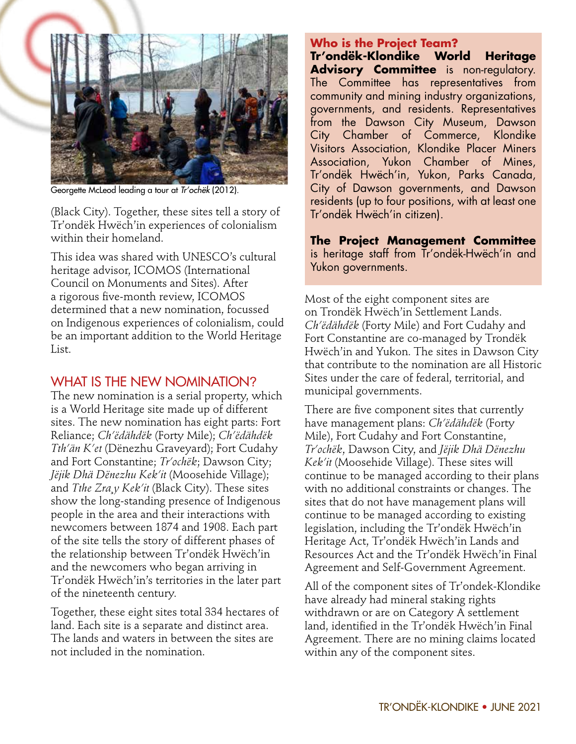

Georgette McLeod leading a tour at Tr'ochëk (2012).

(Black City). Together, these sites tell a story of Tr'ondëk Hwëch'in experiences of colonialism within their homeland.

This idea was shared with UNESCO's cultural heritage advisor, ICOMOS (International Council on Monuments and Sites). After a rigorous five-month review, ICOMOS determined that a new nomination, focussed on Indigenous experiences of colonialism, could be an important addition to the World Heritage List.

#### WHAT IS THE NEW NOMINATION?

The new nomination is a serial property, which is a World Heritage site made up of different sites. The new nomination has eight parts: Fort Reliance; *Ch'ëdähdëk* (Forty Mile); *Ch'ëdähdëk Tth'än K'et* (Dënezhu Graveyard); Fort Cudahy and Fort Constantine; *Tr'ochëk*; Dawson City; *Jëjik Dhä Dënezhu Kek'it* (Moosehide Village); and *Tthe Zra¸y Kek'it* (Black City). These sites show the long-standing presence of Indigenous people in the area and their interactions with newcomers between 1874 and 1908. Each part of the site tells the story of different phases of the relationship between Tr'ondëk Hwëch'in and the newcomers who began arriving in Tr'ondëk Hwëch'in's territories in the later part of the nineteenth century.

Together, these eight sites total 334 hectares of land. Each site is a separate and distinct area. The lands and waters in between the sites are not included in the nomination.

#### **Who is the Project Team?**

**Tr'ondëk-Klondike World Heritage Advisory Committee** is non-regulatory. The Committee has representatives from community and mining industry organizations, governments, and residents. Representatives from the Dawson City Museum, Dawson City Chamber of Commerce, Klondike Visitors Association, Klondike Placer Miners Association, Yukon Chamber of Mines, Tr'ondëk Hwëch'in, Yukon, Parks Canada, City of Dawson governments, and Dawson residents (up to four positions, with at least one Tr'ondëk Hwëch'in citizen).

**The Project Management Committee**  is heritage staff from Tr'ondëk-Hwëch'in and Yukon governments.

Most of the eight component sites are on Trondëk Hwëch'in Settlement Lands. *Ch'ëdähdëk* (Forty Mile) and Fort Cudahy and Fort Constantine are co-managed by Trondëk Hwëch'in and Yukon. The sites in Dawson City that contribute to the nomination are all Historic Sites under the care of federal, territorial, and municipal governments.

There are five component sites that currently have management plans: *Ch'ëdähdëk* (Forty Mile), Fort Cudahy and Fort Constantine, *Tr'ochëk*, Dawson City, and *Jëjik Dhä Dënezhu Kek'it* (Moosehide Village). These sites will continue to be managed according to their plans with no additional constraints or changes. The sites that do not have management plans will continue to be managed according to existing legislation, including the Tr'ondëk Hwëch'in Heritage Act, Tr'ondëk Hwëch'in Lands and Resources Act and the Tr'ondëk Hwëch'in Final Agreement and Self-Government Agreement.

All of the component sites of Tr'ondek-Klondike have already had mineral staking rights withdrawn or are on Category A settlement land, identified in the Tr'ondëk Hwëch'in Final Agreement. There are no mining claims located within any of the component sites.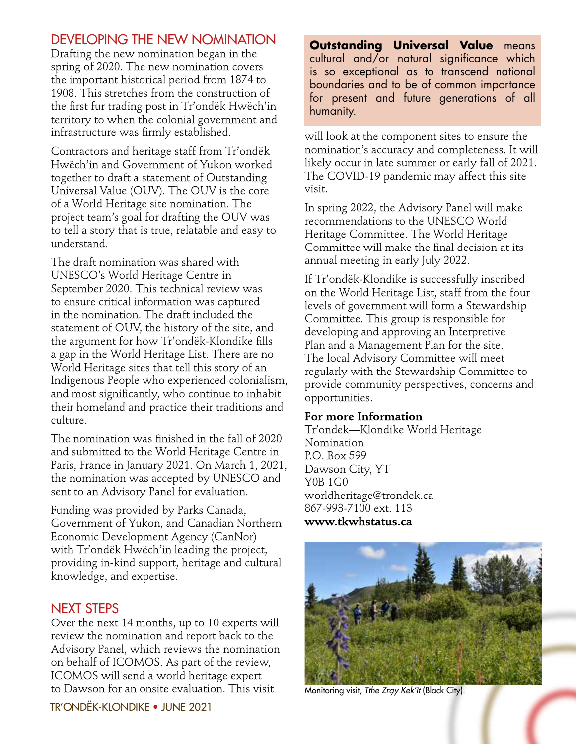## DEVELOPING THE NEW NOMINATION

Drafting the new nomination began in the spring of 2020. The new nomination covers the important historical period from 1874 to 1908. This stretches from the construction of the first fur trading post in Tr'ondëk Hwëch'in territory to when the colonial government and infrastructure was firmly established.

Contractors and heritage staff from Tr'ondëk Hwëch'in and Government of Yukon worked together to draft a statement of Outstanding Universal Value (OUV). The OUV is the core of a World Heritage site nomination. The project team's goal for drafting the OUV was to tell a story that is true, relatable and easy to understand.

The draft nomination was shared with UNESCO's World Heritage Centre in September 2020. This technical review was to ensure critical information was captured in the nomination. The draft included the statement of OUV, the history of the site, and the argument for how Tr'ondëk-Klondike fills a gap in the World Heritage List. There are no World Heritage sites that tell this story of an Indigenous People who experienced colonialism, and most significantly, who continue to inhabit their homeland and practice their traditions and culture.

The nomination was finished in the fall of 2020 and submitted to the World Heritage Centre in Paris, France in January 2021. On March 1, 2021, the nomination was accepted by UNESCO and sent to an Advisory Panel for evaluation.

Funding was provided by Parks Canada, Government of Yukon, and Canadian Northern Economic Development Agency (CanNor) with Tr'ondëk Hwëch'in leading the project, providing in-kind support, heritage and cultural knowledge, and expertise.

## NEXT STEPS

Over the next 14 months, up to 10 experts will review the nomination and report back to the Advisory Panel, which reviews the nomination on behalf of ICOMOS. As part of the review, ICOMOS will send a world heritage expert to Dawson for an onsite evaluation. This visit

**Outstanding Universal Value** means cultural and/or natural significance which is so exceptional as to transcend national boundaries and to be of common importance for present and future generations of all humanity.

will look at the component sites to ensure the nomination's accuracy and completeness. It will likely occur in late summer or early fall of 2021. The COVID-19 pandemic may affect this site visit.

In spring 2022, the Advisory Panel will make recommendations to the UNESCO World Heritage Committee. The World Heritage Committee will make the final decision at its annual meeting in early July 2022.

If Tr'ondëk-Klondike is successfully inscribed on the World Heritage List, staff from the four levels of government will form a Stewardship Committee. This group is responsible for developing and approving an Interpretive Plan and a Management Plan for the site. The local Advisory Committee will meet regularly with the Stewardship Committee to provide community perspectives, concerns and opportunities.

#### **For more Information**

Tr'ondek—Klondike World Heritage Nomination P.O. Box 599 Dawson City, YT Y0B 1G0 worldheritage@trondek.ca 867-993-7100 ext. 113 **www.tkwhstatus.ca**



Monitoring visit, Tthe Zray Kek'it (Black City).

TR'ONDËK-KLONDIKE • JUNE 2021